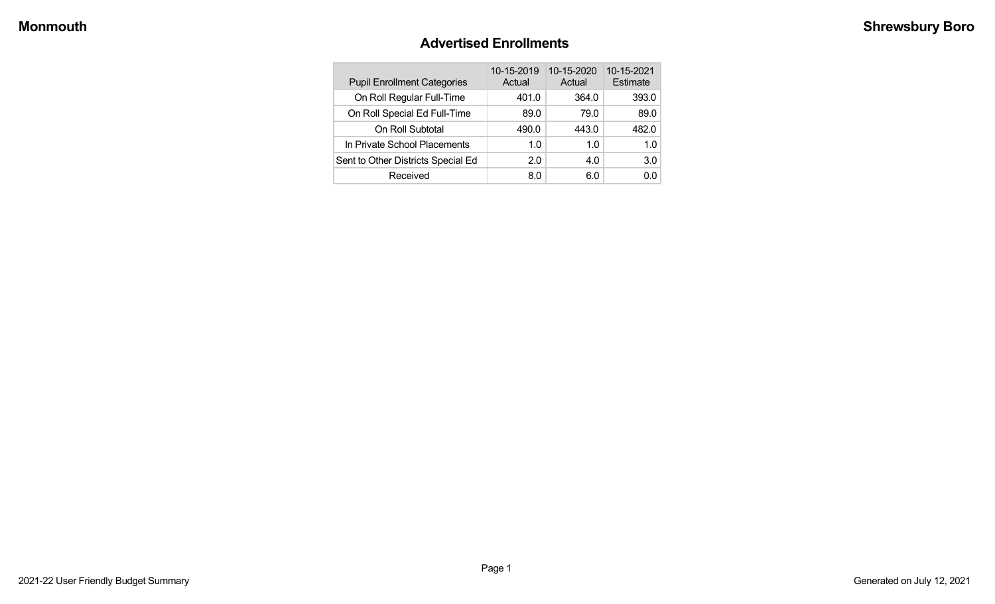#### **Advertised Enrollments**

| <b>Pupil Enrollment Categories</b> | 10-15-2019<br>Actual | 10-15-2020<br>Actual | 10-15-2021<br>Estimate |
|------------------------------------|----------------------|----------------------|------------------------|
| On Roll Regular Full-Time          | 401.0                | 364.0                | 393.0                  |
| On Roll Special Ed Full-Time       | 89.0                 | 79.0                 | 89.0                   |
| On Roll Subtotal                   | 490.0                | 443.0                | 482.0                  |
| In Private School Placements       | 1.0                  | 1.0                  | 1.0                    |
| Sent to Other Districts Special Ed | 2.0                  | 4.0                  | 3.0                    |
| Received                           | 8.0                  | 6.0                  | 0.0                    |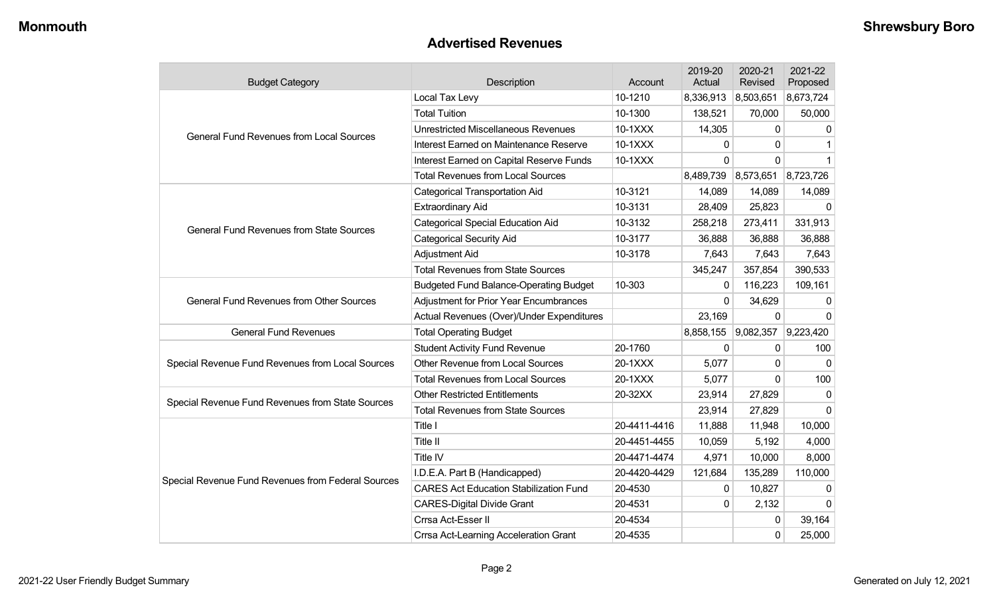#### **Advertised Revenues**

| <b>Budget Category</b>                             | Description                                   | Account      | 2019-20<br>Actual | 2020-21<br>Revised | 2021-22<br>Proposed |
|----------------------------------------------------|-----------------------------------------------|--------------|-------------------|--------------------|---------------------|
|                                                    | Local Tax Levy                                | 10-1210      | 8,336,913         | 8,503,651          | 8,673,724           |
|                                                    | <b>Total Tuition</b>                          | 10-1300      | 138,521           | 70,000             | 50,000              |
| <b>General Fund Revenues from Local Sources</b>    | <b>Unrestricted Miscellaneous Revenues</b>    | 10-1XXX      | 14,305            | $\mathbf{0}$       | $\Omega$            |
|                                                    | Interest Earned on Maintenance Reserve        | 10-1XXX      | 0                 | $\mathbf 0$        |                     |
|                                                    | Interest Earned on Capital Reserve Funds      | 10-1XXX      | 0                 | $\Omega$           |                     |
|                                                    | <b>Total Revenues from Local Sources</b>      |              | 8,489,739         | 8,573,651          | 8,723,726           |
|                                                    | <b>Categorical Transportation Aid</b>         | 10-3121      | 14,089            | 14,089             | 14,089              |
|                                                    | <b>Extraordinary Aid</b>                      | 10-3131      | 28,409            | 25,823             | $\Omega$            |
| <b>General Fund Revenues from State Sources</b>    | <b>Categorical Special Education Aid</b>      | 10-3132      | 258,218           | 273,411            | 331,913             |
|                                                    | <b>Categorical Security Aid</b>               | 10-3177      | 36,888            | 36,888             | 36,888              |
|                                                    | Adjustment Aid                                | 10-3178      | 7,643             | 7,643              | 7,643               |
|                                                    | <b>Total Revenues from State Sources</b>      |              | 345,247           | 357,854            | 390,533             |
|                                                    | <b>Budgeted Fund Balance-Operating Budget</b> | 10-303       | $\mathbf 0$       | 116,223            | 109,161             |
| <b>General Fund Revenues from Other Sources</b>    | <b>Adjustment for Prior Year Encumbrances</b> |              | $\Omega$          | 34,629             | $\Omega$            |
|                                                    | Actual Revenues (Over)/Under Expenditures     |              | 23,169            | $\mathbf{0}$       | $\Omega$            |
| <b>General Fund Revenues</b>                       | <b>Total Operating Budget</b>                 |              | 8,858,155         | 9,082,357          | 9,223,420           |
|                                                    | <b>Student Activity Fund Revenue</b>          | 20-1760      | $\mathbf 0$       | $\mathbf{0}$       | 100                 |
| Special Revenue Fund Revenues from Local Sources   | Other Revenue from Local Sources              | 20-1XXX      | 5,077             | $\mathbf{0}$       | $\mathbf{0}$        |
|                                                    | <b>Total Revenues from Local Sources</b>      | 20-1XXX      | 5,077             | $\Omega$           | 100                 |
| Special Revenue Fund Revenues from State Sources   | <b>Other Restricted Entitlements</b>          | 20-32XX      | 23,914            | 27,829             | $\Omega$            |
|                                                    | <b>Total Revenues from State Sources</b>      |              | 23,914            | 27,829             | $\Omega$            |
|                                                    | Title I                                       | 20-4411-4416 | 11,888            | 11,948             | 10,000              |
|                                                    | <b>Title II</b>                               | 20-4451-4455 | 10,059            | 5,192              | 4,000               |
|                                                    | Title IV                                      | 20-4471-4474 | 4,971             | 10,000             | 8,000               |
| Special Revenue Fund Revenues from Federal Sources | I.D.E.A. Part B (Handicapped)                 | 20-4420-4429 | 121,684           | 135,289            | 110,000             |
|                                                    | <b>CARES Act Education Stabilization Fund</b> | 20-4530      | 0                 | 10,827             | $\Omega$            |
|                                                    | <b>CARES-Digital Divide Grant</b>             | 20-4531      | $\Omega$          | 2,132              | $\Omega$            |
|                                                    | Crrsa Act-Esser II                            | 20-4534      |                   | 0                  | 39,164              |
|                                                    | Crrsa Act-Learning Acceleration Grant         | 20-4535      |                   | $\mathbf 0$        | 25,000              |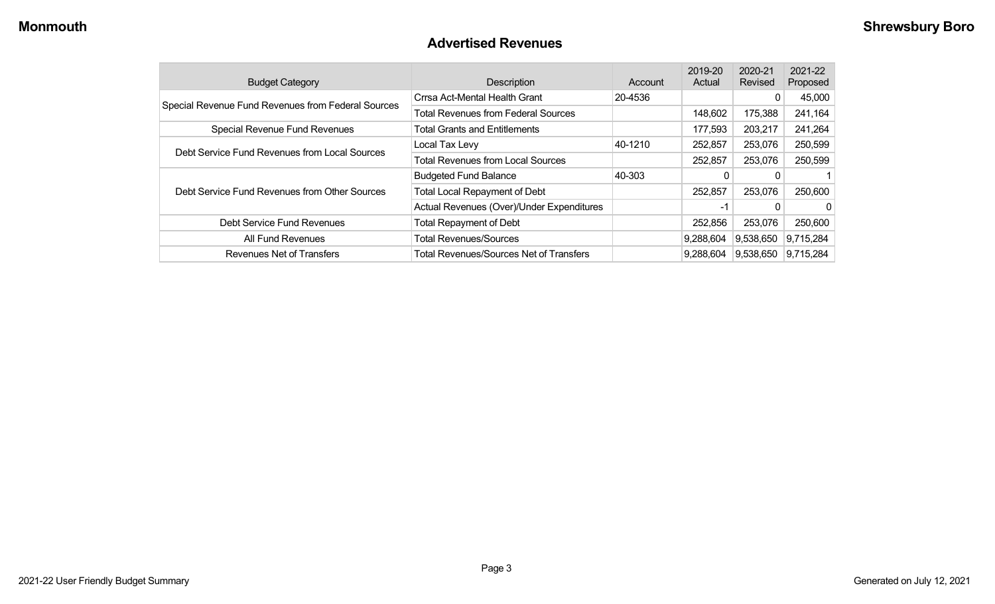### **Advertised Revenues**

| <b>Budget Category</b>                             | Description                                    | Account | 2019-20<br>Actual | 2020-21<br>Revised | 2021-22<br>Proposed |
|----------------------------------------------------|------------------------------------------------|---------|-------------------|--------------------|---------------------|
| Special Revenue Fund Revenues from Federal Sources | Crrsa Act-Mental Health Grant                  | 20-4536 |                   | 0                  | 45,000              |
|                                                    | <b>Total Revenues from Federal Sources</b>     |         | 148,602           | 175,388            | 241,164             |
| <b>Special Revenue Fund Revenues</b>               | <b>Total Grants and Entitlements</b>           |         | 177,593           | 203,217            | 241,264             |
| Debt Service Fund Revenues from Local Sources      | Local Tax Levy                                 | 40-1210 | 252,857           | 253,076            | 250,599             |
|                                                    | <b>Total Revenues from Local Sources</b>       |         | 252,857           | 253,076            | 250,599             |
|                                                    | <b>Budgeted Fund Balance</b>                   | 40-303  |                   |                    |                     |
| Debt Service Fund Revenues from Other Sources      | <b>Total Local Repayment of Debt</b>           |         | 252,857           | 253,076            | 250,600             |
|                                                    | Actual Revenues (Over)/Under Expenditures      |         | -1                |                    | 0                   |
| Debt Service Fund Revenues                         | <b>Total Repayment of Debt</b>                 |         | 252,856           | 253,076            | 250,600             |
| All Fund Revenues                                  | <b>Total Revenues/Sources</b>                  |         | 9,288,604         | 9,538,650          | 9,715,284           |
| Revenues Net of Transfers                          | <b>Total Revenues/Sources Net of Transfers</b> |         | 9,288,604         | 9,538,650          | 9,715,284           |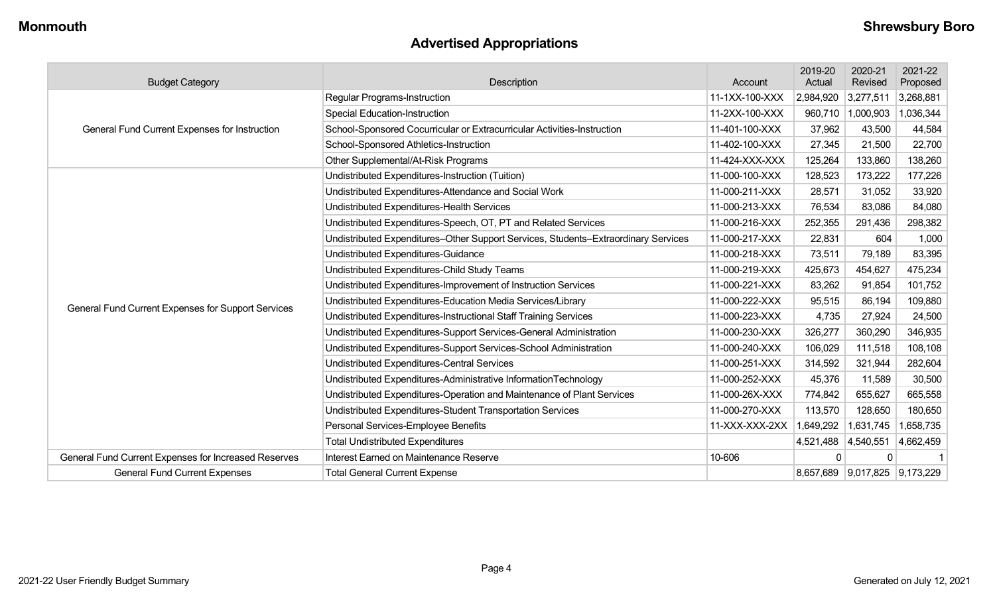## **Advertised Appropriations**

| <b>Budget Category</b>                               | Description                                                                        | Account        | 2019-20<br>Actual | 2020-21<br>Revised            | 2021-22<br>Proposed |
|------------------------------------------------------|------------------------------------------------------------------------------------|----------------|-------------------|-------------------------------|---------------------|
|                                                      | Regular Programs-Instruction                                                       | 11-1XX-100-XXX | 2,984,920         | 3,277,511                     | 3,268,881           |
|                                                      | <b>Special Education-Instruction</b>                                               | 11-2XX-100-XXX | 960,710           | 1,000,903                     | 1,036,344           |
| <b>General Fund Current Expenses for Instruction</b> | School-Sponsored Cocurricular or Extracurricular Activities-Instruction            | 11-401-100-XXX | 37,962            | 43,500                        | 44,584              |
|                                                      | School-Sponsored Athletics-Instruction                                             | 11-402-100-XXX | 27,345            | 21,500                        | 22,700              |
|                                                      | Other Supplemental/At-Risk Programs                                                | 11-424-XXX-XXX | 125,264           | 133,860                       | 138,260             |
|                                                      | Undistributed Expenditures-Instruction (Tuition)                                   | 11-000-100-XXX | 128,523           | 173,222                       | 177,226             |
|                                                      | Undistributed Expenditures-Attendance and Social Work                              | 11-000-211-XXX | 28,571            | 31,052                        | 33,920              |
|                                                      | Undistributed Expenditures-Health Services                                         | 11-000-213-XXX | 76,534            | 83,086                        | 84,080              |
|                                                      | Undistributed Expenditures-Speech, OT, PT and Related Services                     | 11-000-216-XXX | 252,355           | 291,436                       | 298,382             |
|                                                      | Undistributed Expenditures-Other Support Services, Students-Extraordinary Services | 11-000-217-XXX | 22,831            | 604                           | 1,000               |
|                                                      | Undistributed Expenditures-Guidance                                                | 11-000-218-XXX | 73,511            | 79,189                        | 83,395              |
|                                                      | Undistributed Expenditures-Child Study Teams                                       | 11-000-219-XXX | 425,673           | 454,627                       | 475,234             |
|                                                      | Undistributed Expenditures-Improvement of Instruction Services                     | 11-000-221-XXX | 83,262            | 91,854                        | 101,752             |
| General Fund Current Expenses for Support Services   | Undistributed Expenditures-Education Media Services/Library                        | 11-000-222-XXX | 95,515            | 86,194                        | 109,880             |
|                                                      | Undistributed Expenditures-Instructional Staff Training Services                   | 11-000-223-XXX | 4,735             | 27,924                        | 24,500              |
|                                                      | Undistributed Expenditures-Support Services-General Administration                 | 11-000-230-XXX | 326,277           | 360,290                       | 346,935             |
|                                                      | Undistributed Expenditures-Support Services-School Administration                  | 11-000-240-XXX | 106,029           | 111,518                       | 108,108             |
|                                                      | Undistributed Expenditures-Central Services                                        | 11-000-251-XXX | 314,592           | 321,944                       | 282,604             |
|                                                      | Undistributed Expenditures-Administrative InformationTechnology                    | 11-000-252-XXX | 45,376            | 11,589                        | 30,500              |
|                                                      | Undistributed Expenditures-Operation and Maintenance of Plant Services             | 11-000-26X-XXX | 774,842           | 655,627                       | 665,558             |
|                                                      | Undistributed Expenditures-Student Transportation Services                         | 11-000-270-XXX | 113,570           | 128,650                       | 180,650             |
|                                                      | Personal Services-Employee Benefits                                                | 11-XXX-XXX-2XX | 1,649,292         | 1,631,745                     | 1,658,735           |
|                                                      | <b>Total Undistributed Expenditures</b>                                            |                | 4,521,488         | 4,540,551                     | 4,662,459           |
| General Fund Current Expenses for Increased Reserves | Interest Earned on Maintenance Reserve                                             | 10-606         | 0                 | $\Omega$                      |                     |
| <b>General Fund Current Expenses</b>                 | <b>Total General Current Expense</b>                                               |                |                   | 8,657,689 9,017,825 9,173,229 |                     |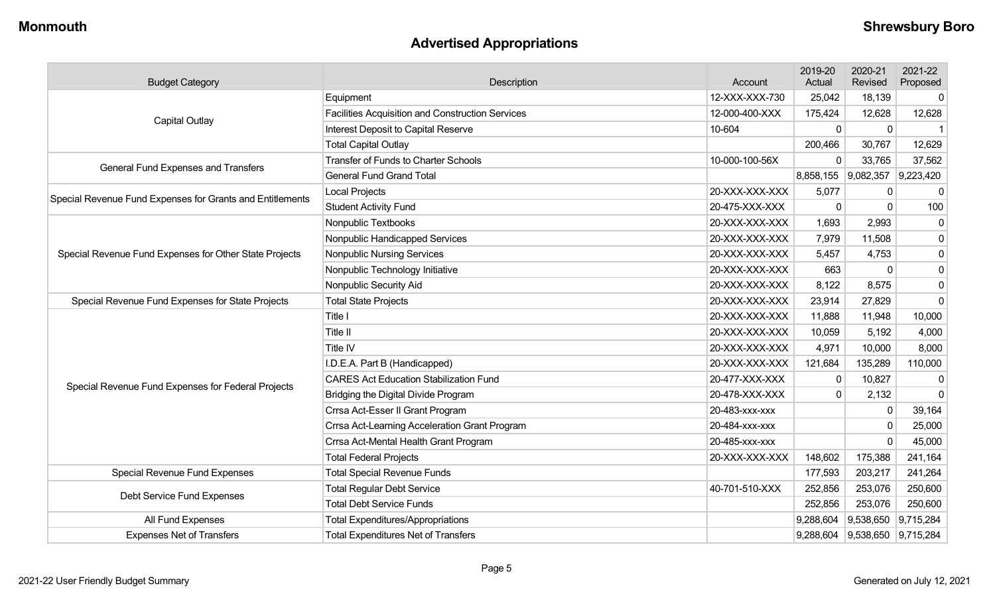## **Advertised Appropriations**

| <b>Budget Category</b>                                    | Description                                      | Account        | 2019-20<br>Actual | 2020-21<br>Revised            | 2021-22<br>Proposed |
|-----------------------------------------------------------|--------------------------------------------------|----------------|-------------------|-------------------------------|---------------------|
|                                                           | Equipment                                        | 12-XXX-XXX-730 | 25,042            | 18,139                        | 0                   |
|                                                           | Facilities Acquisition and Construction Services | 12-000-400-XXX | 175,424           | 12,628                        | 12,628              |
| <b>Capital Outlay</b>                                     | Interest Deposit to Capital Reserve              | 10-604         | $\mathbf{0}$      | $\mathbf 0$                   | $\mathbf 1$         |
|                                                           | <b>Total Capital Outlay</b>                      |                | 200,466           | 30,767                        | 12,629              |
| General Fund Expenses and Transfers                       | <b>Transfer of Funds to Charter Schools</b>      | 10-000-100-56X | $\Omega$          | 33,765                        | 37,562              |
|                                                           | <b>General Fund Grand Total</b>                  |                |                   | 8,858,155 9,082,357 9,223,420 |                     |
| Special Revenue Fund Expenses for Grants and Entitlements | Local Projects                                   | 20-XXX-XXX-XXX | 5,077             | 0                             | $\mathbf 0$         |
|                                                           | <b>Student Activity Fund</b>                     | 20-475-XXX-XXX | $\mathbf{0}$      | 0                             | 100                 |
|                                                           | Nonpublic Textbooks                              | 20-XXX-XXX-XXX | 1,693             | 2,993                         | $\mathbf 0$         |
|                                                           | Nonpublic Handicapped Services                   | 20-XXX-XXX-XXX | 7,979             | 11,508                        | $\pmb{0}$           |
| Special Revenue Fund Expenses for Other State Projects    | <b>Nonpublic Nursing Services</b>                | 20-XXX-XXX-XXX | 5,457             | 4,753                         | $\pmb{0}$           |
|                                                           | Nonpublic Technology Initiative                  | 20-XXX-XXX-XXX | 663               | 0                             | $\pmb{0}$           |
|                                                           | Nonpublic Security Aid                           | 20-XXX-XXX-XXX | 8,122             | 8,575                         | $\pmb{0}$           |
| Special Revenue Fund Expenses for State Projects          | <b>Total State Projects</b>                      | 20-XXX-XXX-XXX | 23,914            | 27,829                        | $\Omega$            |
|                                                           | Title I                                          | 20-XXX-XXX-XXX | 11,888            | 11,948                        | 10,000              |
|                                                           | Title II                                         | 20-XXX-XXX-XXX | 10,059            | 5,192                         | 4,000               |
|                                                           | Title IV                                         | 20-XXX-XXX-XXX | 4,971             | 10,000                        | 8,000               |
|                                                           | I.D.E.A. Part B (Handicapped)                    | 20-XXX-XXX-XXX | 121,684           | 135,289                       | 110,000             |
| Special Revenue Fund Expenses for Federal Projects        | <b>CARES Act Education Stabilization Fund</b>    | 20-477-XXX-XXX | $\Omega$          | 10,827                        | $\mathbf 0$         |
|                                                           | Bridging the Digital Divide Program              | 20-478-XXX-XXX | $\Omega$          | 2,132                         | $\mathbf 0$         |
|                                                           | Crrsa Act-Esser II Grant Program                 | 20-483-xxx-xxx |                   | 0                             | 39,164              |
|                                                           | Crrsa Act-Learning Acceleration Grant Program    | 20-484-xxx-xxx |                   | 0                             | 25,000              |
|                                                           | Crrsa Act-Mental Health Grant Program            | 20-485-xxx-xxx |                   | 0                             | 45,000              |
|                                                           | <b>Total Federal Projects</b>                    | 20-XXX-XXX-XXX | 148,602           | 175,388                       | 241,164             |
| Special Revenue Fund Expenses                             | <b>Total Special Revenue Funds</b>               |                | 177,593           | 203,217                       | 241,264             |
| Debt Service Fund Expenses                                | <b>Total Regular Debt Service</b>                | 40-701-510-XXX | 252,856           | 253,076                       | 250,600             |
|                                                           | <b>Total Debt Service Funds</b>                  |                | 252,856           | 253,076                       | 250,600             |
| All Fund Expenses                                         | <b>Total Expenditures/Appropriations</b>         |                | 9,288,604         | 9,538,650                     | 9,715,284           |
| <b>Expenses Net of Transfers</b>                          | <b>Total Expenditures Net of Transfers</b>       |                | 9,288,604         | 9,538,650                     | 9,715,284           |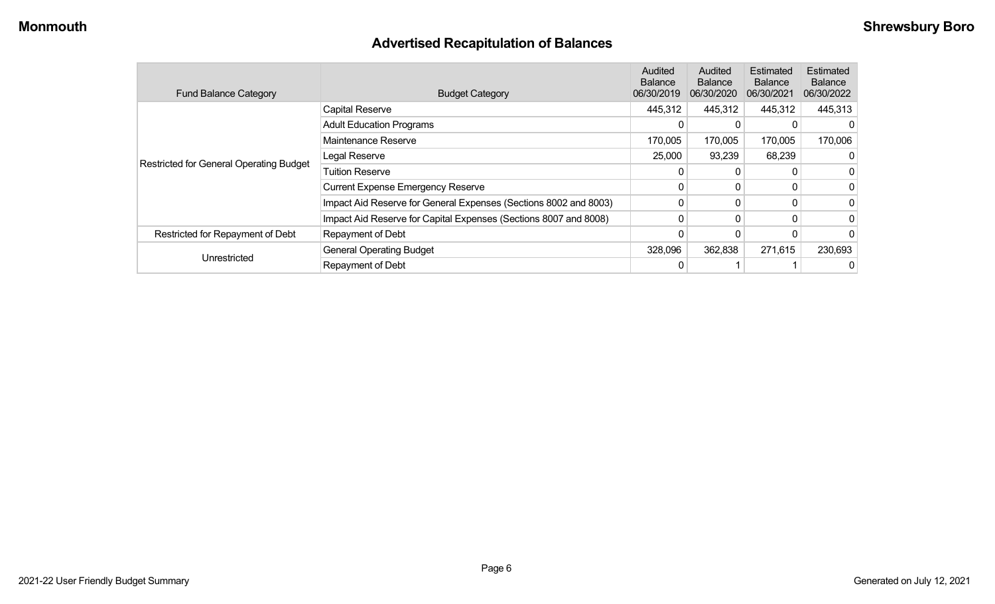## **Advertised Recapitulation of Balances**

| <b>Fund Balance Category</b>                   | <b>Budget Category</b>                                           | Audited<br><b>Balance</b><br>06/30/2019 | Audited<br><b>Balance</b><br>06/30/2020 | Estimated<br><b>Balance</b><br>06/30/2021 | Estimated<br><b>Balance</b><br>06/30/2022 |
|------------------------------------------------|------------------------------------------------------------------|-----------------------------------------|-----------------------------------------|-------------------------------------------|-------------------------------------------|
|                                                | <b>Capital Reserve</b>                                           | 445,312                                 | 445,312                                 | 445,312                                   | 445,313                                   |
|                                                | <b>Adult Education Programs</b>                                  | 0                                       | 0                                       |                                           |                                           |
|                                                | Maintenance Reserve                                              | 170,005                                 | 170,005                                 | 170,005                                   | 170,006                                   |
| <b>Restricted for General Operating Budget</b> | Legal Reserve                                                    | 25,000                                  | 93,239                                  | 68,239                                    |                                           |
|                                                | <b>Tuition Reserve</b>                                           | 0                                       | 0                                       |                                           |                                           |
|                                                | <b>Current Expense Emergency Reserve</b>                         | 0                                       | $\Omega$                                |                                           |                                           |
|                                                | Impact Aid Reserve for General Expenses (Sections 8002 and 8003) | 0                                       | 0                                       | 0                                         |                                           |
|                                                | Impact Aid Reserve for Capital Expenses (Sections 8007 and 8008) | $\mathbf{0}$                            | $\mathbf{0}$                            |                                           |                                           |
| Restricted for Repayment of Debt               | Repayment of Debt                                                |                                         |                                         |                                           |                                           |
|                                                | <b>General Operating Budget</b>                                  | 328,096                                 | 362,838                                 | 271,615                                   | 230,693                                   |
| Unrestricted                                   | Repayment of Debt                                                | 0                                       |                                         |                                           |                                           |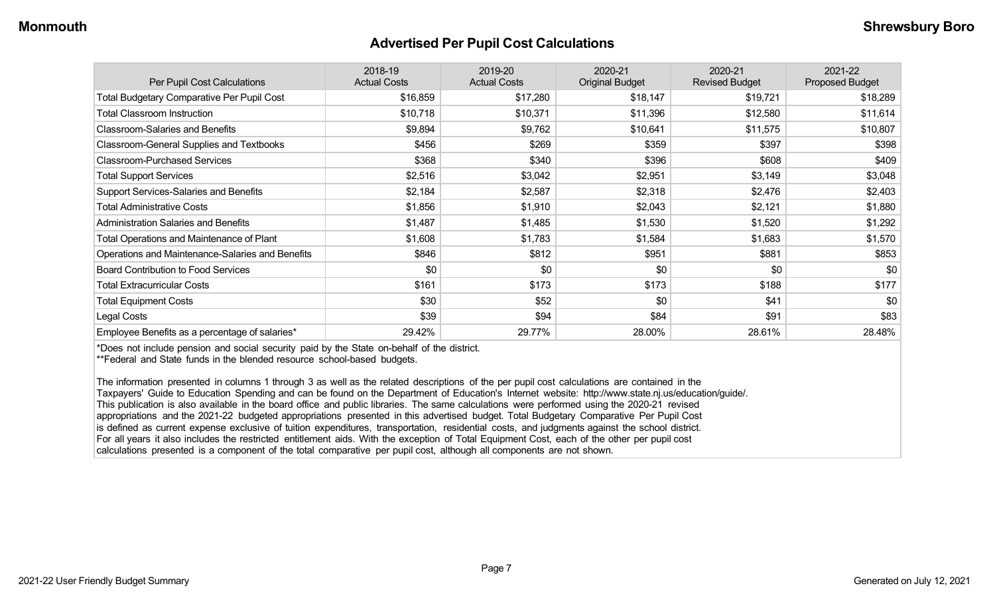#### **Advertised Per Pupil Cost Calculations**

| Per Pupil Cost Calculations                       | 2018-19<br><b>Actual Costs</b> | 2019-20<br><b>Actual Costs</b> | 2020-21<br><b>Original Budget</b> | 2020-21<br><b>Revised Budget</b> | 2021-22<br><b>Proposed Budget</b> |
|---------------------------------------------------|--------------------------------|--------------------------------|-----------------------------------|----------------------------------|-----------------------------------|
| <b>Total Budgetary Comparative Per Pupil Cost</b> | \$16,859                       | \$17,280                       | \$18,147                          | \$19,721                         | \$18,289                          |
| <b>Total Classroom Instruction</b>                | \$10,718                       | \$10,371                       | \$11,396                          | \$12,580                         | \$11,614                          |
| <b>Classroom-Salaries and Benefits</b>            | \$9,894                        | \$9,762                        | \$10,641                          | \$11,575                         | \$10,807                          |
| Classroom-General Supplies and Textbooks          | \$456                          | \$269                          | \$359                             | \$397                            | \$398                             |
| <b>Classroom-Purchased Services</b>               | \$368                          | \$340                          | \$396                             | \$608                            | \$409                             |
| <b>Total Support Services</b>                     | \$2,516                        | \$3,042                        | \$2,951                           | \$3,149                          | \$3,048                           |
| Support Services-Salaries and Benefits            | \$2,184                        | \$2,587                        | \$2,318                           | \$2,476                          | \$2,403                           |
| <b>Total Administrative Costs</b>                 | \$1,856                        | \$1,910                        | \$2,043                           | \$2,121                          | \$1,880                           |
| <b>Administration Salaries and Benefits</b>       | \$1,487                        | \$1,485                        | \$1,530                           | \$1,520                          | \$1,292                           |
| Total Operations and Maintenance of Plant         | \$1,608                        | \$1,783                        | \$1,584                           | \$1,683                          | \$1,570                           |
| Operations and Maintenance-Salaries and Benefits  | \$846                          | \$812                          | \$951                             | \$881                            | \$853                             |
| <b>Board Contribution to Food Services</b>        | \$0                            | \$0                            | \$0                               | \$0                              | \$0                               |
| <b>Total Extracurricular Costs</b>                | \$161                          | \$173                          | \$173                             | \$188                            | \$177                             |
| <b>Total Equipment Costs</b>                      | \$30                           | \$52                           | \$0                               | \$41                             | \$0                               |
| Legal Costs                                       | \$39                           | \$94                           | \$84                              | \$91                             | \$83                              |
| Employee Benefits as a percentage of salaries*    | 29.42%                         | 29.77%                         | 28.00%                            | 28.61%                           | 28.48%                            |

\*Does not include pension and social security paid by the State on-behalf of the district.

\*\*Federal and State funds in the blended resource school-based budgets.

The information presented in columns 1 through 3 as well as the related descriptions of the per pupil cost calculations are contained in the Taxpayers' Guide to Education Spending and can be found on the Department of Education's Internet website: http://www.state.nj.us/education/guide/. This publication is also available in the board office and public libraries. The same calculations were performed using the 2020-21 revised appropriations and the 2021-22 budgeted appropriations presented in this advertised budget. Total Budgetary Comparative Per Pupil Cost is defined as current expense exclusive of tuition expenditures, transportation, residential costs, and judgments against the school district. For all years it also includes the restricted entitlement aids. With the exception of Total Equipment Cost, each of the other per pupil cost calculations presented is a component of the total comparative per pupil cost, although all components are not shown.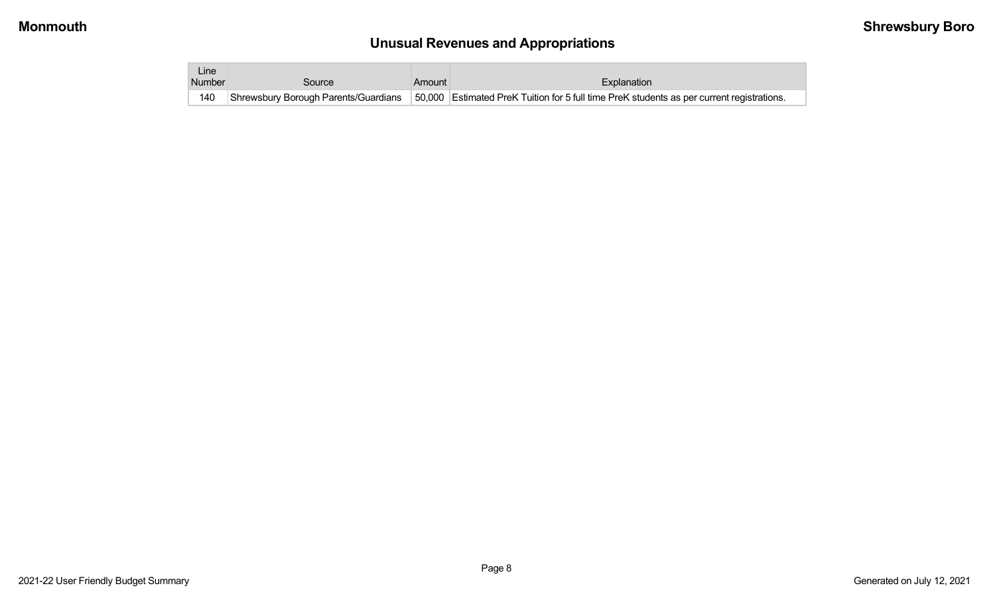# **Unusual Revenues and Appropriations**

| Line i |                                      |        |                                                                                           |
|--------|--------------------------------------|--------|-------------------------------------------------------------------------------------------|
| Number | Source                               | Amount | Explanation                                                                               |
| 140    | Shrewsbury Borough Parents/Guardians |        | 50,000 Estimated PreK Tuition for 5 full time PreK students as per current registrations. |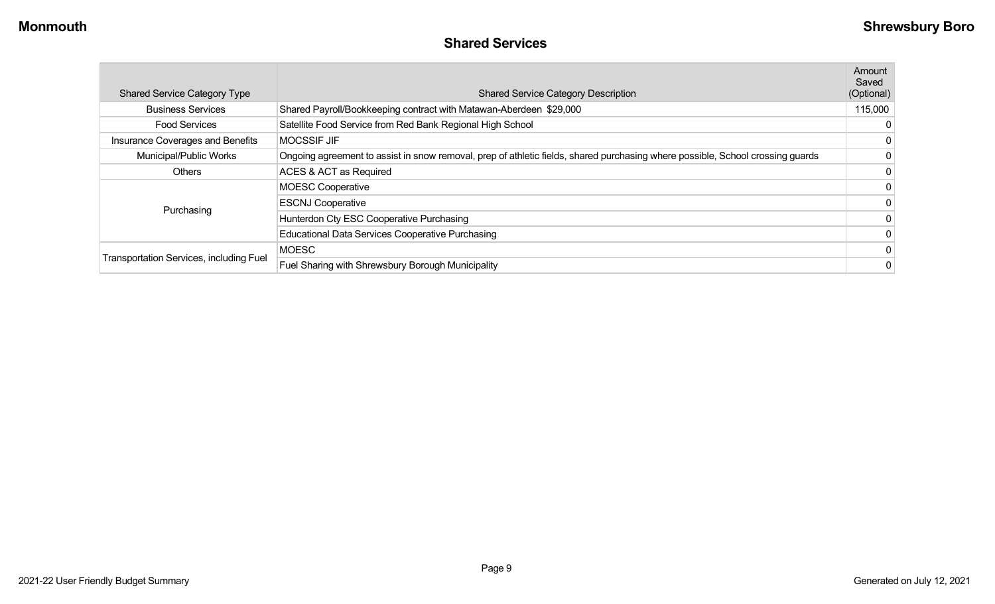### **Shared Services**

| <b>Shared Service Category Type</b>     | <b>Shared Service Category Description</b>                                                                                     | Amount<br>Saved<br>(Optional) |
|-----------------------------------------|--------------------------------------------------------------------------------------------------------------------------------|-------------------------------|
| <b>Business Services</b>                | Shared Payroll/Bookkeeping contract with Matawan-Aberdeen \$29,000                                                             | 115,000                       |
| <b>Food Services</b>                    | Satellite Food Service from Red Bank Regional High School                                                                      |                               |
| Insurance Coverages and Benefits        | <b>MOCSSIF JIF</b>                                                                                                             | 0                             |
| Municipal/Public Works                  | Ongoing agreement to assist in snow removal, prep of athletic fields, shared purchasing where possible, School crossing guards |                               |
| <b>Others</b>                           | ACES & ACT as Required                                                                                                         | 0                             |
|                                         | <b>MOESC Cooperative</b>                                                                                                       |                               |
|                                         | <b>ESCNJ Cooperative</b>                                                                                                       |                               |
| Purchasing                              | Hunterdon Cty ESC Cooperative Purchasing                                                                                       |                               |
|                                         | Educational Data Services Cooperative Purchasing                                                                               |                               |
|                                         | <b>MOESC</b>                                                                                                                   |                               |
| Transportation Services, including Fuel | Fuel Sharing with Shrewsbury Borough Municipality                                                                              | 0                             |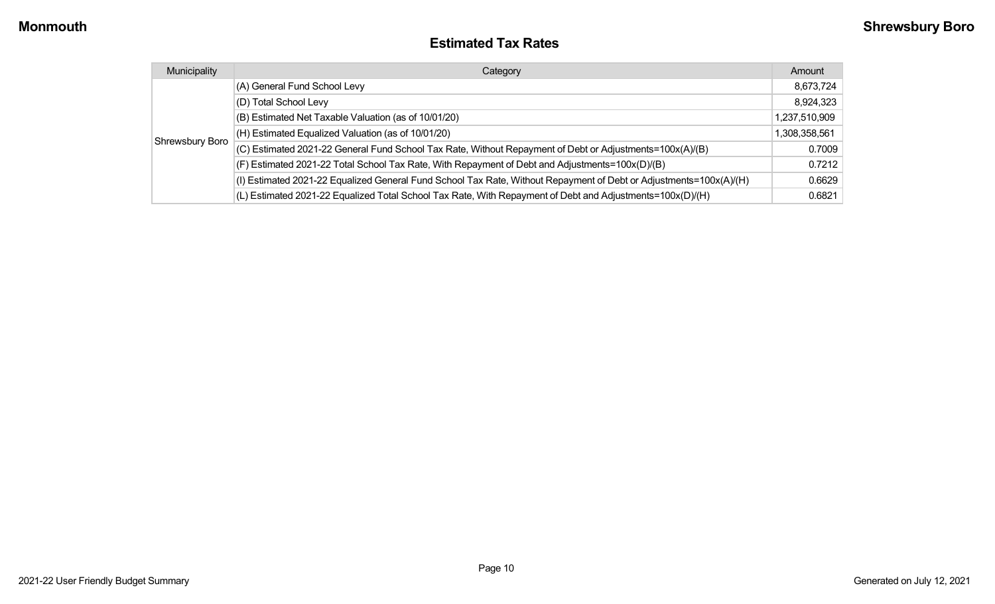#### **Estimated Tax Rates**

| Municipality    | Category                                                                                                           | Amount        |
|-----------------|--------------------------------------------------------------------------------------------------------------------|---------------|
|                 | (A) General Fund School Levy                                                                                       | 8,673,724     |
|                 | (D) Total School Levy                                                                                              | 8,924,323     |
| Shrewsbury Boro | (B) Estimated Net Taxable Valuation (as of 10/01/20)                                                               | 1,237,510,909 |
|                 | (H) Estimated Equalized Valuation (as of 10/01/20)                                                                 | 1,308,358,561 |
|                 | (C) Estimated 2021-22 General Fund School Tax Rate, Without Repayment of Debt or Adjustments=100x(A)/(B)           | 0.7009        |
|                 | (F) Estimated 2021-22 Total School Tax Rate, With Repayment of Debt and Adjustments=100x(D)/(B)                    | 0.7212        |
|                 | (I) Estimated 2021-22 Equalized General Fund School Tax Rate, Without Repayment of Debt or Adjustments=100x(A)/(H) | 0.6629        |
|                 | (L) Estimated 2021-22 Equalized Total School Tax Rate, With Repayment of Debt and Adjustments=100x(D)/(H)          | 0.6821        |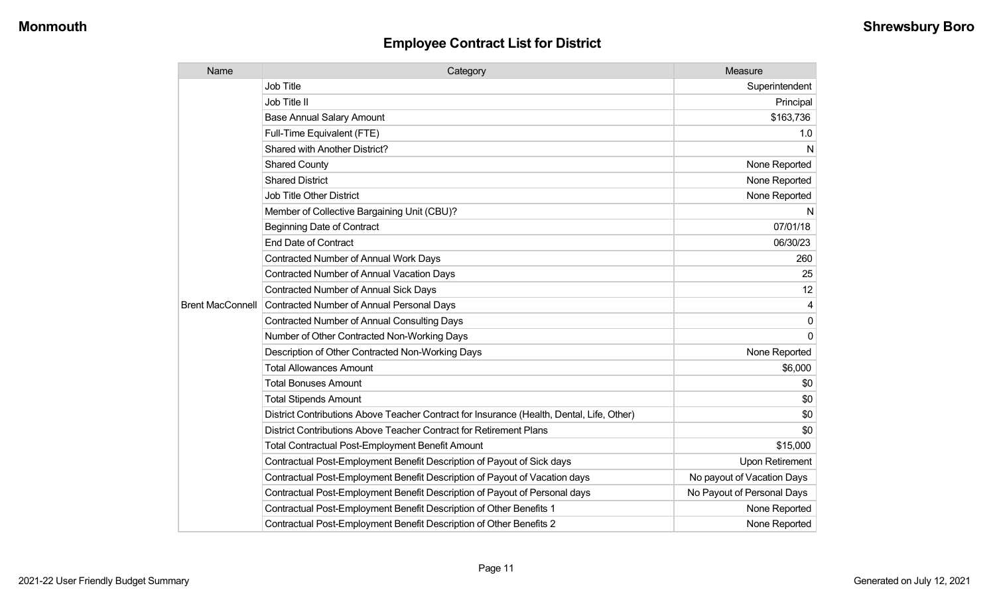| Name                    | Category                                                                                  | Measure                    |
|-------------------------|-------------------------------------------------------------------------------------------|----------------------------|
|                         | <b>Job Title</b>                                                                          | Superintendent             |
|                         | Job Title II                                                                              | Principal                  |
|                         | <b>Base Annual Salary Amount</b>                                                          | \$163,736                  |
|                         | Full-Time Equivalent (FTE)                                                                | 1.0                        |
|                         | <b>Shared with Another District?</b>                                                      | N                          |
|                         | <b>Shared County</b>                                                                      | None Reported              |
|                         | <b>Shared District</b>                                                                    | None Reported              |
|                         | <b>Job Title Other District</b>                                                           | None Reported              |
|                         | Member of Collective Bargaining Unit (CBU)?                                               | N                          |
|                         | <b>Beginning Date of Contract</b>                                                         | 07/01/18                   |
|                         | <b>End Date of Contract</b>                                                               | 06/30/23                   |
|                         | <b>Contracted Number of Annual Work Days</b>                                              | 260                        |
|                         | <b>Contracted Number of Annual Vacation Days</b>                                          | 25                         |
|                         | <b>Contracted Number of Annual Sick Days</b>                                              | 12                         |
| <b>Brent MacConnell</b> | Contracted Number of Annual Personal Days                                                 |                            |
|                         | <b>Contracted Number of Annual Consulting Days</b>                                        | $\mathbf{0}$               |
|                         | Number of Other Contracted Non-Working Days                                               | $\Omega$                   |
|                         | Description of Other Contracted Non-Working Days                                          | None Reported              |
|                         | <b>Total Allowances Amount</b>                                                            | \$6,000                    |
|                         | <b>Total Bonuses Amount</b>                                                               | \$0                        |
|                         | <b>Total Stipends Amount</b>                                                              | \$0                        |
|                         | District Contributions Above Teacher Contract for Insurance (Health, Dental, Life, Other) | \$0                        |
|                         | District Contributions Above Teacher Contract for Retirement Plans                        | \$0                        |
|                         | <b>Total Contractual Post-Employment Benefit Amount</b>                                   | \$15,000                   |
|                         | Contractual Post-Employment Benefit Description of Payout of Sick days                    | Upon Retirement            |
|                         | Contractual Post-Employment Benefit Description of Payout of Vacation days                | No payout of Vacation Days |
|                         | Contractual Post-Employment Benefit Description of Payout of Personal days                | No Payout of Personal Days |
|                         | Contractual Post-Employment Benefit Description of Other Benefits 1                       | None Reported              |
|                         | Contractual Post-Employment Benefit Description of Other Benefits 2                       | None Reported              |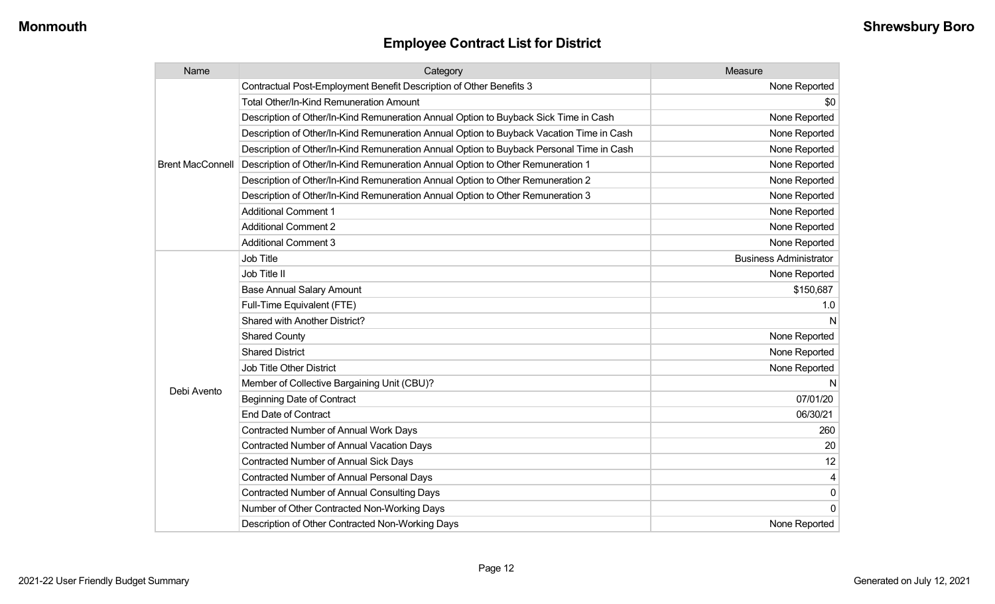| Name                    | Category                                                                                 | Measure                       |
|-------------------------|------------------------------------------------------------------------------------------|-------------------------------|
|                         | Contractual Post-Employment Benefit Description of Other Benefits 3                      | None Reported                 |
|                         | <b>Total Other/In-Kind Remuneration Amount</b>                                           | \$0                           |
|                         | Description of Other/In-Kind Remuneration Annual Option to Buyback Sick Time in Cash     | None Reported                 |
|                         | Description of Other/In-Kind Remuneration Annual Option to Buyback Vacation Time in Cash | None Reported                 |
|                         | Description of Other/In-Kind Remuneration Annual Option to Buyback Personal Time in Cash | None Reported                 |
| <b>Brent MacConnell</b> | Description of Other/In-Kind Remuneration Annual Option to Other Remuneration 1          | None Reported                 |
|                         | Description of Other/In-Kind Remuneration Annual Option to Other Remuneration 2          | None Reported                 |
|                         | Description of Other/In-Kind Remuneration Annual Option to Other Remuneration 3          | None Reported                 |
|                         | <b>Additional Comment 1</b>                                                              | None Reported                 |
|                         | <b>Additional Comment 2</b>                                                              | None Reported                 |
|                         | <b>Additional Comment 3</b>                                                              | None Reported                 |
|                         | Job Title                                                                                | <b>Business Administrator</b> |
|                         | Job Title II                                                                             | None Reported                 |
|                         | <b>Base Annual Salary Amount</b>                                                         | \$150,687                     |
|                         | Full-Time Equivalent (FTE)                                                               | 1.0                           |
|                         | Shared with Another District?                                                            | N                             |
|                         | <b>Shared County</b>                                                                     | None Reported                 |
|                         | <b>Shared District</b>                                                                   | None Reported                 |
|                         | Job Title Other District                                                                 | None Reported                 |
|                         | Member of Collective Bargaining Unit (CBU)?                                              | N                             |
| Debi Avento             | <b>Beginning Date of Contract</b>                                                        | 07/01/20                      |
|                         | <b>End Date of Contract</b>                                                              | 06/30/21                      |
|                         | Contracted Number of Annual Work Days                                                    | 260                           |
|                         | Contracted Number of Annual Vacation Days                                                | 20                            |
|                         | <b>Contracted Number of Annual Sick Days</b>                                             | 12                            |
|                         | Contracted Number of Annual Personal Days                                                | 4                             |
|                         | <b>Contracted Number of Annual Consulting Days</b>                                       | 0                             |
|                         | Number of Other Contracted Non-Working Days                                              | 0                             |
|                         | Description of Other Contracted Non-Working Days                                         | None Reported                 |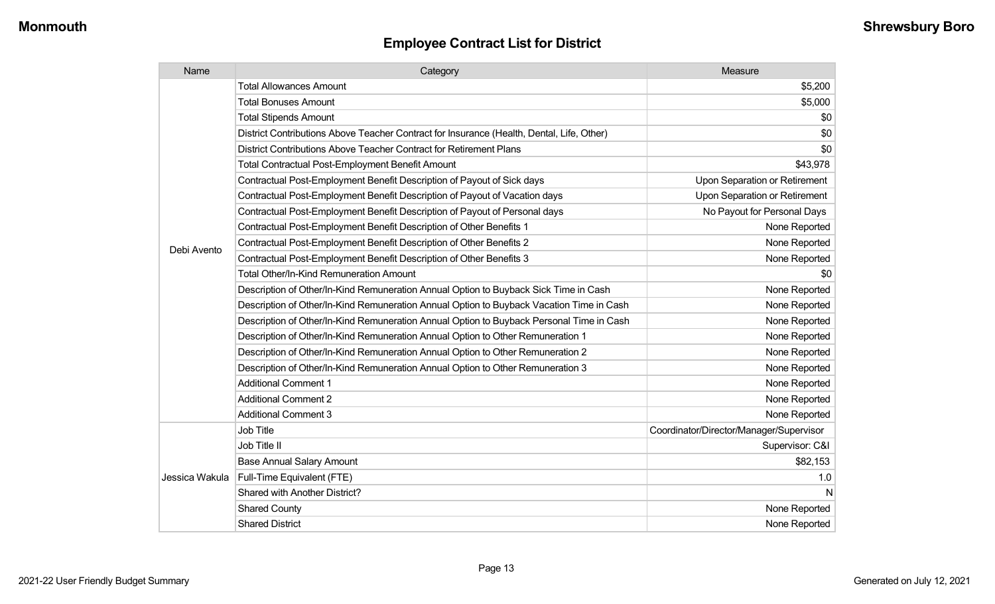| Name           | Category                                                                                  | Measure                                 |
|----------------|-------------------------------------------------------------------------------------------|-----------------------------------------|
|                | <b>Total Allowances Amount</b>                                                            | \$5,200                                 |
|                | <b>Total Bonuses Amount</b>                                                               | \$5,000                                 |
|                | <b>Total Stipends Amount</b>                                                              | \$0                                     |
|                | District Contributions Above Teacher Contract for Insurance (Health, Dental, Life, Other) | \$0                                     |
|                | District Contributions Above Teacher Contract for Retirement Plans                        | \$0                                     |
|                | <b>Total Contractual Post-Employment Benefit Amount</b>                                   | \$43,978                                |
|                | Contractual Post-Employment Benefit Description of Payout of Sick days                    | Upon Separation or Retirement           |
|                | Contractual Post-Employment Benefit Description of Payout of Vacation days                | Upon Separation or Retirement           |
|                | Contractual Post-Employment Benefit Description of Payout of Personal days                | No Payout for Personal Days             |
|                | Contractual Post-Employment Benefit Description of Other Benefits 1                       | None Reported                           |
|                | Contractual Post-Employment Benefit Description of Other Benefits 2                       | None Reported                           |
| Debi Avento    | Contractual Post-Employment Benefit Description of Other Benefits 3                       | None Reported                           |
|                | Total Other/In-Kind Remuneration Amount                                                   | \$0                                     |
|                | Description of Other/In-Kind Remuneration Annual Option to Buyback Sick Time in Cash      | None Reported                           |
|                | Description of Other/In-Kind Remuneration Annual Option to Buyback Vacation Time in Cash  | None Reported                           |
|                | Description of Other/In-Kind Remuneration Annual Option to Buyback Personal Time in Cash  | None Reported                           |
|                | Description of Other/In-Kind Remuneration Annual Option to Other Remuneration 1           | None Reported                           |
|                | Description of Other/In-Kind Remuneration Annual Option to Other Remuneration 2           | None Reported                           |
|                | Description of Other/In-Kind Remuneration Annual Option to Other Remuneration 3           | None Reported                           |
|                | <b>Additional Comment 1</b>                                                               | None Reported                           |
|                | <b>Additional Comment 2</b>                                                               | None Reported                           |
|                | <b>Additional Comment 3</b>                                                               | None Reported                           |
|                | Job Title                                                                                 | Coordinator/Director/Manager/Supervisor |
| Jessica Wakula | Job Title II                                                                              | Supervisor: C&I                         |
|                | <b>Base Annual Salary Amount</b>                                                          | \$82,153                                |
|                | Full-Time Equivalent (FTE)                                                                | 1.0                                     |
|                | Shared with Another District?                                                             | N                                       |
|                | <b>Shared County</b>                                                                      | None Reported                           |
|                | <b>Shared District</b>                                                                    | None Reported                           |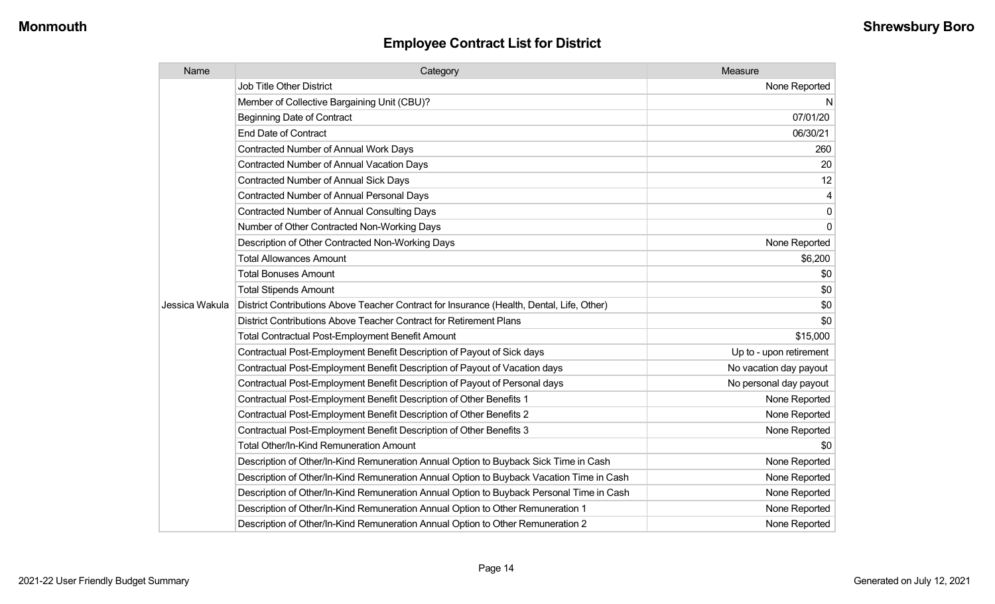| Name           | Category                                                                                  | Measure                 |
|----------------|-------------------------------------------------------------------------------------------|-------------------------|
|                | <b>Job Title Other District</b>                                                           | None Reported           |
|                | Member of Collective Bargaining Unit (CBU)?                                               | N                       |
|                | <b>Beginning Date of Contract</b>                                                         | 07/01/20                |
|                | <b>End Date of Contract</b>                                                               | 06/30/21                |
|                | <b>Contracted Number of Annual Work Days</b>                                              | 260                     |
|                | <b>Contracted Number of Annual Vacation Days</b>                                          | 20                      |
|                | <b>Contracted Number of Annual Sick Days</b>                                              | 12                      |
|                | <b>Contracted Number of Annual Personal Days</b>                                          | 4                       |
|                | Contracted Number of Annual Consulting Days                                               | $\mathbf 0$             |
|                | Number of Other Contracted Non-Working Days                                               | $\mathbf 0$             |
|                | Description of Other Contracted Non-Working Days                                          | None Reported           |
|                | <b>Total Allowances Amount</b>                                                            | \$6,200                 |
|                | <b>Total Bonuses Amount</b>                                                               | \$0                     |
|                | <b>Total Stipends Amount</b>                                                              | \$0                     |
| Jessica Wakula | District Contributions Above Teacher Contract for Insurance (Health, Dental, Life, Other) | \$0                     |
|                | District Contributions Above Teacher Contract for Retirement Plans                        | \$0                     |
|                | <b>Total Contractual Post-Employment Benefit Amount</b>                                   | \$15,000                |
|                | Contractual Post-Employment Benefit Description of Payout of Sick days                    | Up to - upon retirement |
|                | Contractual Post-Employment Benefit Description of Payout of Vacation days                | No vacation day payout  |
|                | Contractual Post-Employment Benefit Description of Payout of Personal days                | No personal day payout  |
|                | Contractual Post-Employment Benefit Description of Other Benefits 1                       | None Reported           |
|                | Contractual Post-Employment Benefit Description of Other Benefits 2                       | None Reported           |
|                | Contractual Post-Employment Benefit Description of Other Benefits 3                       | None Reported           |
|                | <b>Total Other/In-Kind Remuneration Amount</b>                                            | \$0                     |
|                | Description of Other/In-Kind Remuneration Annual Option to Buyback Sick Time in Cash      | None Reported           |
|                | Description of Other/In-Kind Remuneration Annual Option to Buyback Vacation Time in Cash  | None Reported           |
|                | Description of Other/In-Kind Remuneration Annual Option to Buyback Personal Time in Cash  | None Reported           |
|                | Description of Other/In-Kind Remuneration Annual Option to Other Remuneration 1           | None Reported           |
|                | Description of Other/In-Kind Remuneration Annual Option to Other Remuneration 2           | None Reported           |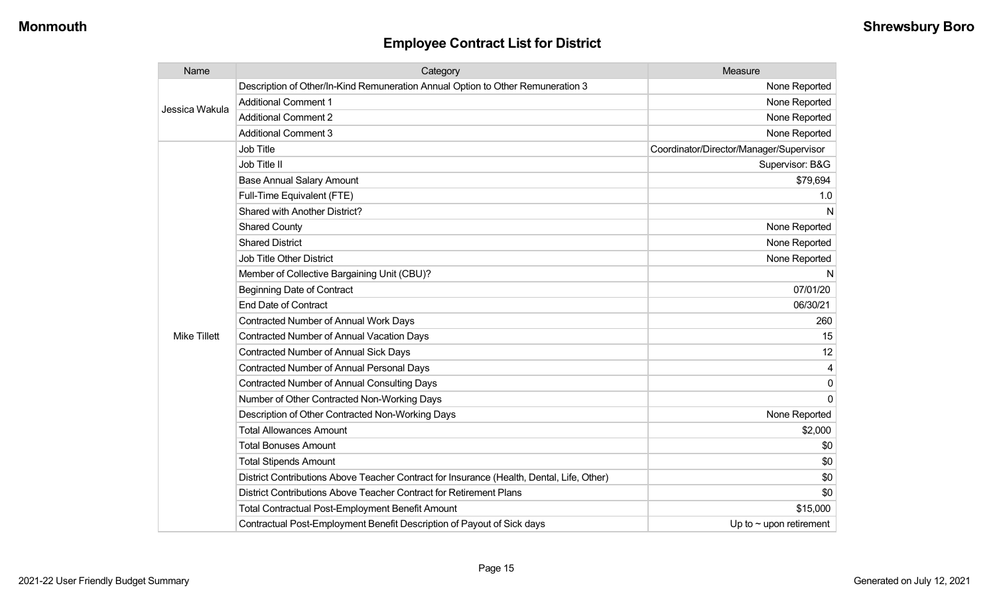| Name                | Category                                                                                  | Measure                                 |
|---------------------|-------------------------------------------------------------------------------------------|-----------------------------------------|
| Jessica Wakula      | Description of Other/In-Kind Remuneration Annual Option to Other Remuneration 3           | None Reported                           |
|                     | <b>Additional Comment 1</b>                                                               | None Reported                           |
|                     | <b>Additional Comment 2</b>                                                               | None Reported                           |
|                     | <b>Additional Comment 3</b>                                                               | None Reported                           |
|                     | <b>Job Title</b>                                                                          | Coordinator/Director/Manager/Supervisor |
|                     | Job Title II                                                                              | Supervisor: B&G                         |
|                     | <b>Base Annual Salary Amount</b>                                                          | \$79,694                                |
|                     | Full-Time Equivalent (FTE)                                                                | 1.0                                     |
|                     | Shared with Another District?                                                             | N                                       |
|                     | <b>Shared County</b>                                                                      | None Reported                           |
|                     | <b>Shared District</b>                                                                    | None Reported                           |
|                     | <b>Job Title Other District</b>                                                           | None Reported                           |
|                     | Member of Collective Bargaining Unit (CBU)?                                               | N                                       |
|                     | <b>Beginning Date of Contract</b>                                                         | 07/01/20                                |
|                     | <b>End Date of Contract</b>                                                               | 06/30/21                                |
|                     | Contracted Number of Annual Work Days                                                     | 260                                     |
| <b>Mike Tillett</b> | Contracted Number of Annual Vacation Days                                                 | 15                                      |
|                     | <b>Contracted Number of Annual Sick Days</b>                                              | 12                                      |
|                     | <b>Contracted Number of Annual Personal Days</b>                                          |                                         |
|                     | <b>Contracted Number of Annual Consulting Days</b>                                        | $\Omega$                                |
|                     | Number of Other Contracted Non-Working Days                                               | $\Omega$                                |
|                     | Description of Other Contracted Non-Working Days                                          | None Reported                           |
|                     | <b>Total Allowances Amount</b>                                                            | \$2,000                                 |
|                     | <b>Total Bonuses Amount</b>                                                               | \$0                                     |
|                     | <b>Total Stipends Amount</b>                                                              | \$0                                     |
|                     | District Contributions Above Teacher Contract for Insurance (Health, Dental, Life, Other) | \$0                                     |
|                     | District Contributions Above Teacher Contract for Retirement Plans                        | \$0                                     |
|                     | <b>Total Contractual Post-Employment Benefit Amount</b>                                   | \$15,000                                |
|                     | Contractual Post-Employment Benefit Description of Payout of Sick days                    | Up to $\sim$ upon retirement            |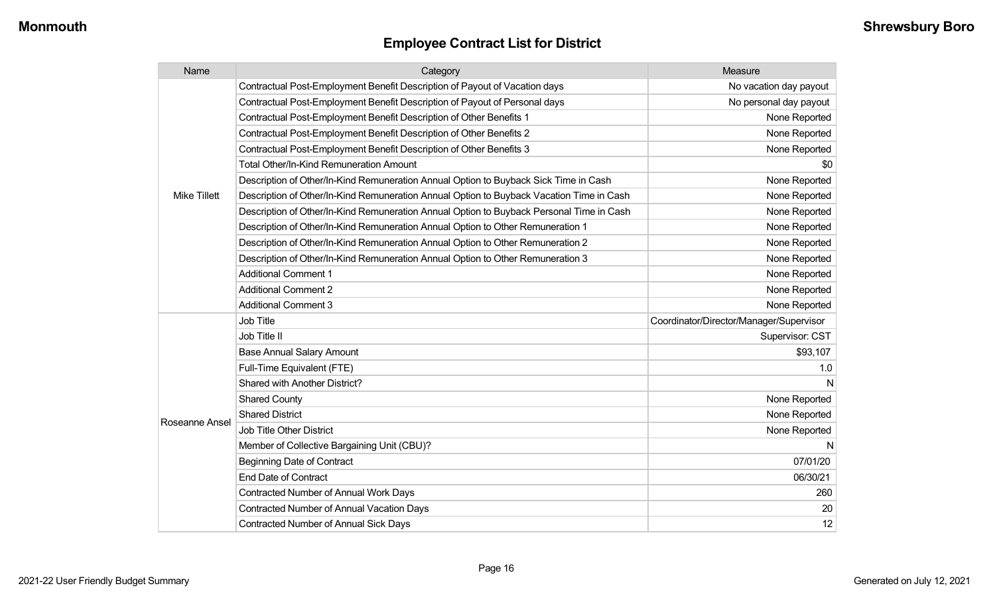| Name                | Category                                                                                 | Measure                                 |
|---------------------|------------------------------------------------------------------------------------------|-----------------------------------------|
|                     | Contractual Post-Employment Benefit Description of Payout of Vacation days               | No vacation day payout                  |
|                     | Contractual Post-Employment Benefit Description of Payout of Personal days               | No personal day payout                  |
|                     | Contractual Post-Employment Benefit Description of Other Benefits 1                      | None Reported                           |
|                     | Contractual Post-Employment Benefit Description of Other Benefits 2                      | None Reported                           |
|                     | Contractual Post-Employment Benefit Description of Other Benefits 3                      | None Reported                           |
|                     | Total Other/In-Kind Remuneration Amount                                                  | \$0                                     |
|                     | Description of Other/In-Kind Remuneration Annual Option to Buyback Sick Time in Cash     | None Reported                           |
| <b>Mike Tillett</b> | Description of Other/In-Kind Remuneration Annual Option to Buyback Vacation Time in Cash | None Reported                           |
|                     | Description of Other/In-Kind Remuneration Annual Option to Buyback Personal Time in Cash | None Reported                           |
|                     | Description of Other/In-Kind Remuneration Annual Option to Other Remuneration 1          | None Reported                           |
|                     | Description of Other/In-Kind Remuneration Annual Option to Other Remuneration 2          | None Reported                           |
|                     | Description of Other/In-Kind Remuneration Annual Option to Other Remuneration 3          | None Reported                           |
|                     | <b>Additional Comment 1</b>                                                              | None Reported                           |
|                     | <b>Additional Comment 2</b>                                                              | None Reported                           |
|                     | <b>Additional Comment 3</b>                                                              | None Reported                           |
|                     | Job Title                                                                                | Coordinator/Director/Manager/Supervisor |
|                     | Job Title II                                                                             | Supervisor: CST                         |
|                     | <b>Base Annual Salary Amount</b>                                                         | \$93,107                                |
|                     | Full-Time Equivalent (FTE)                                                               | 1.0                                     |
|                     | <b>Shared with Another District?</b>                                                     |                                         |
|                     | <b>Shared County</b>                                                                     | None Reported                           |
|                     | <b>Shared District</b>                                                                   | None Reported                           |
| Roseanne Ansel      | Job Title Other District                                                                 | None Reported                           |
|                     | Member of Collective Bargaining Unit (CBU)?                                              | N                                       |
|                     | <b>Beginning Date of Contract</b>                                                        | 07/01/20                                |
|                     | <b>End Date of Contract</b>                                                              | 06/30/21                                |
|                     | Contracted Number of Annual Work Days                                                    | 260                                     |
|                     | Contracted Number of Annual Vacation Days                                                | 20                                      |
|                     | <b>Contracted Number of Annual Sick Days</b>                                             | 12                                      |